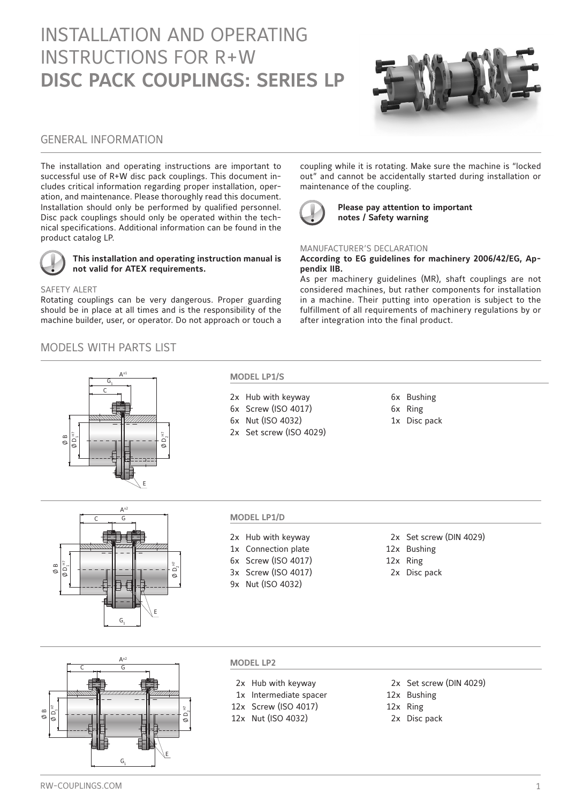# INSTALLATION AND OPERATING INSTRUCTIONS FOR R+W **DISC PACK COUPLINGS: SERIES LP**



# GENERAL INFORMATION

The installation and operating instructions are important to successful use of R+W disc pack couplings. This document includes critical information regarding proper installation, operation, and maintenance. Please thoroughly read this document. Installation should only be performed by qualified personnel. Disc pack couplings should only be operated within the technical specifications. Additional information can be found in the product catalog LP.



### **This installation and operating instruction manual is not valid for ATEX requirements.**

### SAFETY ALERT

Rotating couplings can be very dangerous. Proper guarding should be in place at all times and is the responsibility of the machine builder, user, or operator. Do not approach or touch a

# MODELS WITH PARTS LIST



### **MODEL LP1/S**

2x Hub with keyway 6x Bushing 6x Screw (ISO 4017) 6x Ring 6x Nut (ISO 4032) 1x Disc pack 2x Set screw (ISO 4029)

coupling while it is rotating. Make sure the machine is "locked out" and cannot be accidentally started during installation or maintenance of the coupling.



**Please pay attention to important notes / Safety warning**

### MANUFACTURER'S DECLARATION

**According to EG guidelines for machinery 2006/42/EG, Appendix IIB.**

As per machinery guidelines (MR), shaft couplings are not considered machines, but rather components for installation in a machine. Their putting into operation is subject to the fulfillment of all requirements of machinery regulations by or after integration into the final product.

- 
- 
- 
- 
- 



### **MODEL LP1/D**

1x Connection plate 12x Bushing

9x Nut (ISO 4032)

- 2x Hub with keyway 2x Set screw (DIN 4029)
	-
- 6x Screw (ISO 4017) 12x Ring
- 3x Screw (ISO 4017) 2x Disc pack

 $A^{\pm 2}$  $\overline{\mathsf{D}}_{1}^{\,\mathop{\mathrm{H}\mathrm{D}}}$ C G G1 E  $\sigma$ Ø B

# **MODEL LP2**

- 2x Hub with keyway 2x Set screw (DIN 4029)
- 1x Intermediate spacer 12x Bushing
- 12x Screw (ISO 4017) 12x Ring
- 12x Nut (ISO 4032) 2x Disc pack
- 
- 
- 
- 
-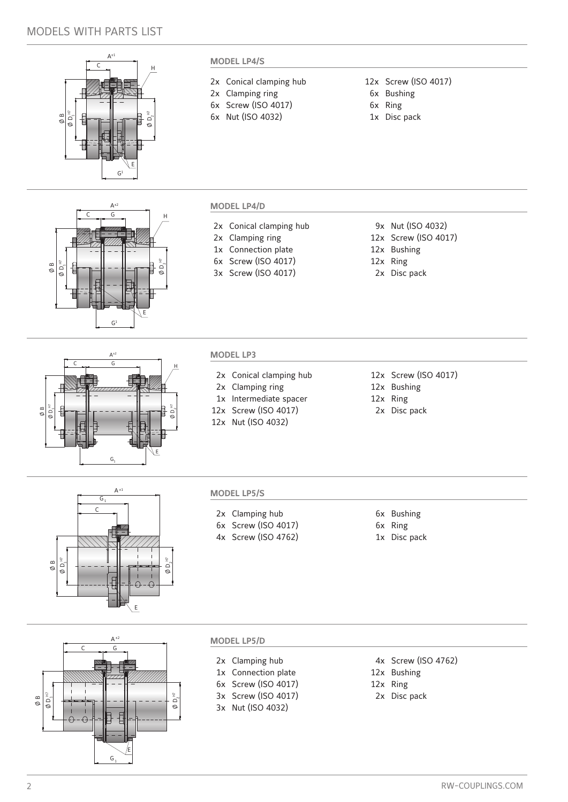# MODELS WITH PARTS LIST



 $A^{\pm 2}$  $C \t G$  H

# **MODEL LP4/S**

- 2x Conical clamping hub 12x Screw (ISO 4017)
- 2x Clamping ring 6x Bushing
- 6x Screw (ISO 4017) 6x Ring
- 6x Nut (ISO 4032) 1x Disc pack
- 
- 
- -

## **MODEL LP4/D**

- 2x Conical clamping hub 9x Nut (ISO 4032)
- 
- 1x Connection plate 12x Bushing
- 6x Screw (ISO 4017) 12x Ring
- 3x Screw (ISO 4017)
- 
- 2x Clamping ring 12x Screw (ISO 4017)
	-
	-
	- 2x Disc pack



 $\mathsf{G}^{\sharp}$ 

 $\emptyset$  D, $^{\text{\tiny H7}}$ 

E

 $\overline{D}$ 

Ø B

### **MODEL LP3**

- 2x Conical clamping hub 12x Screw (ISO 4017)
- 2x Clamping ring 12x Bushing
- 1x Intermediate spacer 12x Ring
- 12x Screw (ISO 4017) 2x Disc pack
- 12x Nut (ISO 4032)
- 
- 
- 
- 



### **MODEL LP5/S**

- 2x Clamping hub 6x Bushing
- 6x Screw (ISO 4017) 6x Ring
- 4x Screw (ISO 4762) 1x Disc pack

- 
- 



### **MODEL LP5/D**

- 1x Connection plate 12x Bushing
- 6x Screw (ISO 4017) 12x Ring
- 
- 3x Nut (ISO 4032)
- 2x Clamping hub 4x Screw (ISO 4762)
	-
	-
- 3x Screw (ISO 4017) 2x Disc pack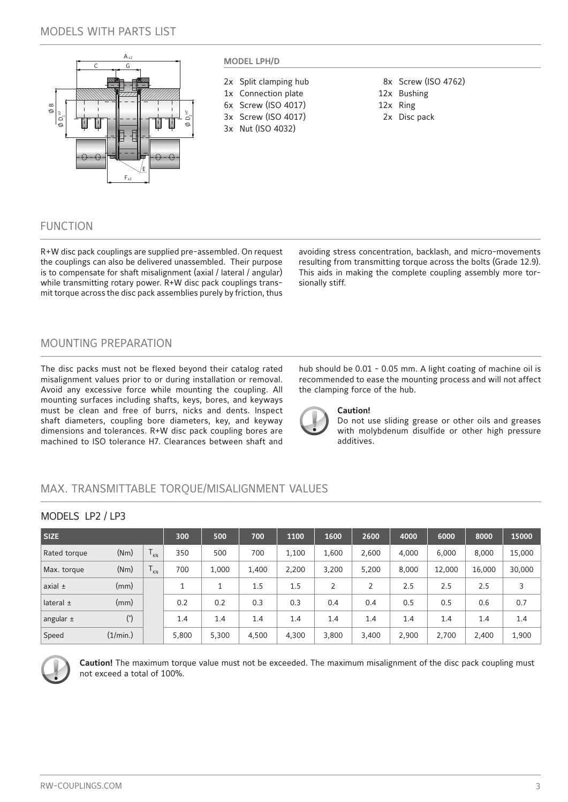# MODELS WITH PARTS LIST



# FUNCTION

R+W disc pack couplings are supplied pre-assembled. On request the couplings can also be delivered unassembled. Their purpose is to compensate for shaft misalignment (axial / lateral / angular) while transmitting rotary power. R+W disc pack couplings transmit torque across the disc pack assemblies purely by friction, thus avoiding stress concentration, backlash, and micro-movements resulting from transmitting torque across the bolts (Grade 12.9). This aids in making the complete coupling assembly more torsionally stiff.

# MOUNTING PREPARATION

The disc packs must not be flexed beyond their catalog rated misalignment values prior to or during installation or removal. Avoid any excessive force while mounting the coupling. All mounting surfaces including shafts, keys, bores, and keyways must be clean and free of burrs, nicks and dents. Inspect shaft diameters, coupling bore diameters, key, and keyway dimensions and tolerances. R+W disc pack coupling bores are machined to ISO tolerance H7. Clearances between shaft and

hub should be 0.01 - 0.05 mm. A light coating of machine oil is recommended to ease the mounting process and will not affect the clamping force of the hub.



### **Caution!**

Do not use sliding grease or other oils and greases with molybdenum disulfide or other high pressure additives.

# MAX. TRANSMITTABLE TORQUE/MISALIGNMENT VALUES

| <b>SIZE</b>   |          |                                         | 300   | 500   | 700   | 1100  | 1600           | 2600  | 4000  | 6000   | 8000   | 15000  |
|---------------|----------|-----------------------------------------|-------|-------|-------|-------|----------------|-------|-------|--------|--------|--------|
| Rated torque  | (Nm)     | $\mathbf$<br>$\mathsf{I}_{\mathsf{KN}}$ | 350   | 500   | 700   | 1,100 | 1,600          | 2,600 | 4,000 | 6,000  | 8,000  | 15,000 |
| Max. torque   | (Nm)     | $\mathbf{\tau}$<br>$\mathsf{K}$         | 700   | 1,000 | 1,400 | 2,200 | 3,200          | 5,200 | 8,000 | 12,000 | 16,000 | 30,000 |
| axial $\pm$   | (mm)     |                                         | и     |       | 1.5   | 1.5   | $\overline{2}$ |       | 2.5   | 2.5    | 2.5    | 3      |
| lateral $\pm$ | (mm)     |                                         | 0.2   | 0.2   | 0.3   | 0.3   | 0.4            | 0.4   | 0.5   | 0.5    | 0.6    | 0.7    |
| angular $\pm$ | (°)      |                                         | 1.4   | 1.4   | 1.4   | 1.4   | 1.4            | 1.4   | 1.4   | 1.4    | 1.4    | 1.4    |
| Speed         | (1/min.) |                                         | 5,800 | 5,300 | 4.500 | 4,300 | 3,800          | 3,400 | 2,900 | 2,700  | 2,400  | 1,900  |



**Caution!** The maximum torque value must not be exceeded. The maximum misalignment of the disc pack coupling must not exceed a total of 100%.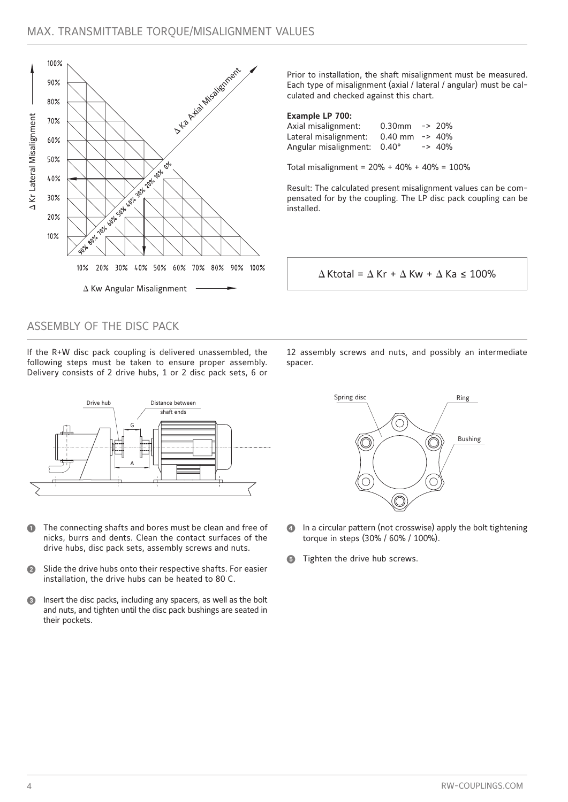

Prior to installation, the shaft misalignment must be measured. Each type of misalignment (axial / lateral / angular) must be calculated and checked against this chart.

### **Example LP 700:**

| Axial misalignment:   | $0.30$ mm -> 20%   |          |
|-----------------------|--------------------|----------|
| Lateral misalignment: | $0.40$ mm $ >$ 40% |          |
| Angular misalignment: | $0.40^{\circ}$     | $-2$ 40% |

Total misalignment = 20% + 40% + 40% = 100%

Result: The calculated present misalignment values can be compensated for by the coupling. The LP disc pack coupling can be installed.

 $\Delta$  Ktotal =  $\Delta$  Kr +  $\Delta$  Kw +  $\Delta$  Ka ≤ 100%

# ASSEMBLY OF THE DISC PACK

If the R+W disc pack coupling is delivered unassembled, the following steps must be taken to ensure proper assembly. Delivery consists of 2 drive hubs, 1 or 2 disc pack sets, 6 or



- The connecting shafts and bores must be clean and free of nicks, burrs and dents. Clean the contact surfaces of the drive hubs, disc pack sets, assembly screws and nuts.
- Slide the drive hubs onto their respective shafts. For easier installation, the drive hubs can be heated to 80 C.
- Insert the disc packs, including any spacers, as well as the bolt and nuts, and tighten until the disc pack bushings are seated in their pockets.

12 assembly screws and nuts, and possibly an intermediate spacer.



- In a circular pattern (not crosswise) apply the bolt tightening torque in steps (30% / 60% / 100%).
- **G** Tighten the drive hub screws.